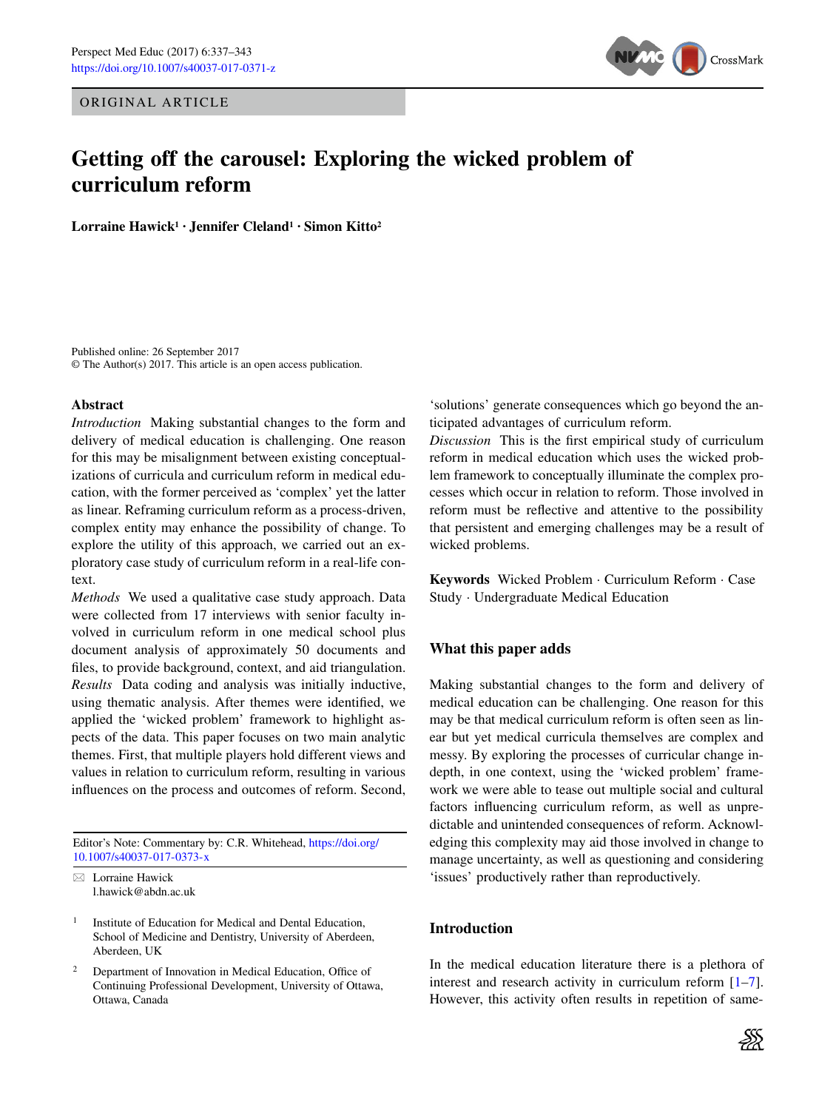ORIGINAL ARTICLE



# **Getting off the carousel: Exploring the wicked problem of curriculum reform**

**Lorraine Hawick1 · Jennifer Cleland1 · Simon Kitto2**

Published online: 26 September 2017 © The Author(s) 2017. This article is an open access publication.

## **Abstract**

*Introduction* Making substantial changes to the form and delivery of medical education is challenging. One reason for this may be misalignment between existing conceptualizations of curricula and curriculum reform in medical education, with the former perceived as 'complex' yet the latter as linear. Reframing curriculum reform as a process-driven, complex entity may enhance the possibility of change. To explore the utility of this approach, we carried out an exploratory case study of curriculum reform in a real-life context.

*Methods* We used a qualitative case study approach. Data were collected from 17 interviews with senior faculty involved in curriculum reform in one medical school plus document analysis of approximately 50 documents and files, to provide background, context, and aid triangulation. *Results* Data coding and analysis was initially inductive, using thematic analysis. After themes were identified, we applied the 'wicked problem' framework to highlight aspects of the data. This paper focuses on two main analytic themes. First, that multiple players hold different views and values in relation to curriculum reform, resulting in various influences on the process and outcomes of reform. Second,

Editor's Note: Commentary by: C.R. Whitehead, [https://doi.org/](http://dx.doi.org/10.1007/s40037-017-0373-x) [10.1007/s40037-017-0373-x](http://dx.doi.org/10.1007/s40037-017-0373-x)

- Lorraine Hawick l.hawick@abdn.ac.uk

- <sup>1</sup> Institute of Education for Medical and Dental Education, School of Medicine and Dentistry, University of Aberdeen, Aberdeen, UK
- <sup>2</sup> Department of Innovation in Medical Education, Office of Continuing Professional Development, University of Ottawa, Ottawa, Canada

'solutions' generate consequences which go beyond the anticipated advantages of curriculum reform.

*Discussion* This is the first empirical study of curriculum reform in medical education which uses the wicked problem framework to conceptually illuminate the complex processes which occur in relation to reform. Those involved in reform must be reflective and attentive to the possibility that persistent and emerging challenges may be a result of wicked problems.

**Keywords** Wicked Problem · Curriculum Reform · Case Study · Undergraduate Medical Education

## **What this paper adds**

Making substantial changes to the form and delivery of medical education can be challenging. One reason for this may be that medical curriculum reform is often seen as linear but yet medical curricula themselves are complex and messy. By exploring the processes of curricular change indepth, in one context, using the 'wicked problem' framework we were able to tease out multiple social and cultural factors influencing curriculum reform, as well as unpredictable and unintended consequences of reform. Acknowledging this complexity may aid those involved in change to manage uncertainty, as well as questioning and considering 'issues' productively rather than reproductively.

# **Introduction**

In the medical education literature there is a plethora of interest and research activity in curriculum reform [\[1–](#page-5-0)[7\]](#page-5-1). However, this activity often results in repetition of same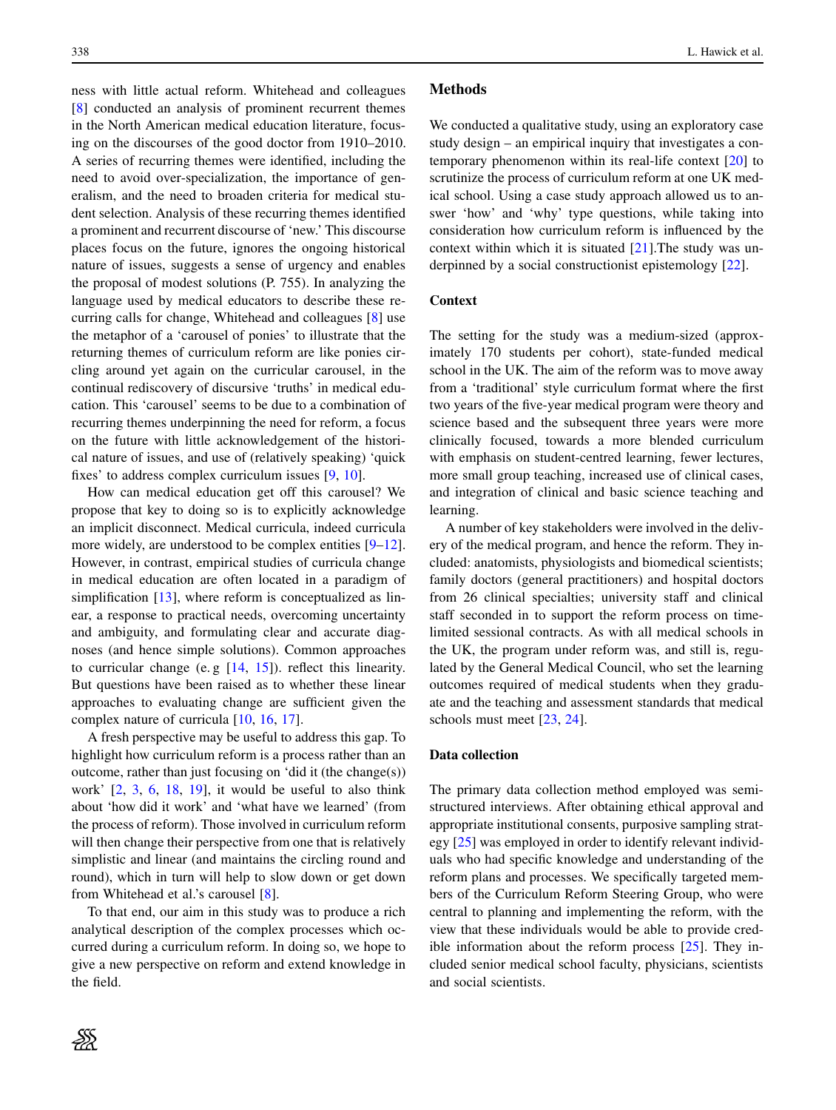ness with little actual reform. Whitehead and colleagues [\[8\]](#page-5-2) conducted an analysis of prominent recurrent themes in the North American medical education literature, focusing on the discourses of the good doctor from 1910–2010. A series of recurring themes were identified, including the need to avoid over-specialization, the importance of generalism, and the need to broaden criteria for medical student selection. Analysis of these recurring themes identified a prominent and recurrent discourse of 'new.' This discourse places focus on the future, ignores the ongoing historical nature of issues, suggests a sense of urgency and enables the proposal of modest solutions (P. 755). In analyzing the language used by medical educators to describe these recurring calls for change, Whitehead and colleagues [\[8\]](#page-5-2) use the metaphor of a 'carousel of ponies' to illustrate that the returning themes of curriculum reform are like ponies circling around yet again on the curricular carousel, in the continual rediscovery of discursive 'truths' in medical education. This 'carousel' seems to be due to a combination of recurring themes underpinning the need for reform, a focus on the future with little acknowledgement of the historical nature of issues, and use of (relatively speaking) 'quick fixes' to address complex curriculum issues [\[9,](#page-5-3) [10\]](#page-5-4).

How can medical education get off this carousel? We propose that key to doing so is to explicitly acknowledge an implicit disconnect. Medical curricula, indeed curricula more widely, are understood to be complex entities [\[9](#page-5-3)[–12\]](#page-5-5). However, in contrast, empirical studies of curricula change in medical education are often located in a paradigm of simplification [\[13\]](#page-5-6), where reform is conceptualized as linear, a response to practical needs, overcoming uncertainty and ambiguity, and formulating clear and accurate diagnoses (and hence simple solutions). Common approaches to curricular change (e.g  $[14, 15]$  $[14, 15]$  $[14, 15]$ ). reflect this linearity. But questions have been raised as to whether these linear approaches to evaluating change are sufficient given the complex nature of curricula [\[10,](#page-5-4) [16,](#page-6-2) [17\]](#page-6-3).

A fresh perspective may be useful to address this gap. To highlight how curriculum reform is a process rather than an outcome, rather than just focusing on 'did it (the change(s)) work' [\[2,](#page-5-7) [3,](#page-5-8) [6,](#page-5-9) [18,](#page-6-4) [19\]](#page-6-5), it would be useful to also think about 'how did it work' and 'what have we learned' (from the process of reform). Those involved in curriculum reform will then change their perspective from one that is relatively simplistic and linear (and maintains the circling round and round), which in turn will help to slow down or get down from Whitehead et al.'s carousel [\[8\]](#page-5-2).

To that end, our aim in this study was to produce a rich analytical description of the complex processes which occurred during a curriculum reform. In doing so, we hope to give a new perspective on reform and extend knowledge in the field.

#### **Methods**

We conducted a qualitative study, using an exploratory case study design – an empirical inquiry that investigates a contemporary phenomenon within its real-life context [\[20\]](#page-6-6) to scrutinize the process of curriculum reform at one UK medical school. Using a case study approach allowed us to answer 'how' and 'why' type questions, while taking into consideration how curriculum reform is influenced by the context within which it is situated  $[21]$ . The study was underpinned by a social constructionist epistemology [\[22\]](#page-6-8).

#### **Context**

The setting for the study was a medium-sized (approximately 170 students per cohort), state-funded medical school in the UK. The aim of the reform was to move away from a 'traditional' style curriculum format where the first two years of the five-year medical program were theory and science based and the subsequent three years were more clinically focused, towards a more blended curriculum with emphasis on student-centred learning, fewer lectures, more small group teaching, increased use of clinical cases, and integration of clinical and basic science teaching and learning.

A number of key stakeholders were involved in the delivery of the medical program, and hence the reform. They included: anatomists, physiologists and biomedical scientists; family doctors (general practitioners) and hospital doctors from 26 clinical specialties; university staff and clinical staff seconded in to support the reform process on timelimited sessional contracts. As with all medical schools in the UK, the program under reform was, and still is, regulated by the General Medical Council, who set the learning outcomes required of medical students when they graduate and the teaching and assessment standards that medical schools must meet [\[23,](#page-6-9) [24\]](#page-6-10).

### **Data collection**

The primary data collection method employed was semistructured interviews. After obtaining ethical approval and appropriate institutional consents, purposive sampling strategy [\[25\]](#page-6-11) was employed in order to identify relevant individuals who had specific knowledge and understanding of the reform plans and processes. We specifically targeted members of the Curriculum Reform Steering Group, who were central to planning and implementing the reform, with the view that these individuals would be able to provide credible information about the reform process [\[25\]](#page-6-11). They included senior medical school faculty, physicians, scientists and social scientists.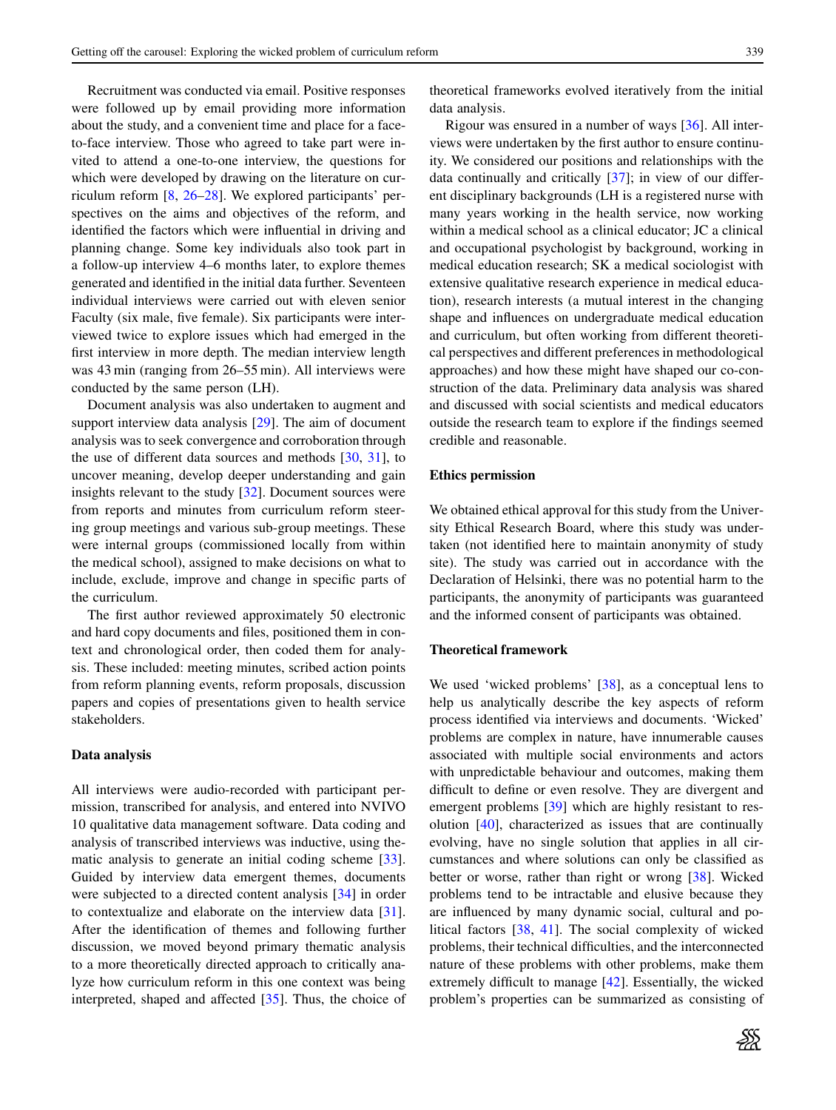Recruitment was conducted via email. Positive responses were followed up by email providing more information about the study, and a convenient time and place for a faceto-face interview. Those who agreed to take part were invited to attend a one-to-one interview, the questions for which were developed by drawing on the literature on curriculum reform [\[8,](#page-5-2) [26–](#page-6-12)[28\]](#page-6-13). We explored participants' perspectives on the aims and objectives of the reform, and identified the factors which were influential in driving and planning change. Some key individuals also took part in a follow-up interview 4–6 months later, to explore themes generated and identified in the initial data further. Seventeen individual interviews were carried out with eleven senior Faculty (six male, five female). Six participants were interviewed twice to explore issues which had emerged in the first interview in more depth. The median interview length was 43 min (ranging from 26–55 min). All interviews were conducted by the same person (LH).

Document analysis was also undertaken to augment and support interview data analysis [\[29\]](#page-6-14). The aim of document analysis was to seek convergence and corroboration through the use of different data sources and methods [\[30,](#page-6-15) [31\]](#page-6-16), to uncover meaning, develop deeper understanding and gain insights relevant to the study [\[32\]](#page-6-17). Document sources were from reports and minutes from curriculum reform steering group meetings and various sub-group meetings. These were internal groups (commissioned locally from within the medical school), assigned to make decisions on what to include, exclude, improve and change in specific parts of the curriculum.

The first author reviewed approximately 50 electronic and hard copy documents and files, positioned them in context and chronological order, then coded them for analysis. These included: meeting minutes, scribed action points from reform planning events, reform proposals, discussion papers and copies of presentations given to health service stakeholders.

#### **Data analysis**

All interviews were audio-recorded with participant permission, transcribed for analysis, and entered into NVIVO 10 qualitative data management software. Data coding and analysis of transcribed interviews was inductive, using thematic analysis to generate an initial coding scheme [\[33\]](#page-6-18). Guided by interview data emergent themes, documents were subjected to a directed content analysis [\[34\]](#page-6-19) in order to contextualize and elaborate on the interview data [\[31\]](#page-6-16). After the identification of themes and following further discussion, we moved beyond primary thematic analysis to a more theoretically directed approach to critically analyze how curriculum reform in this one context was being interpreted, shaped and affected [\[35\]](#page-6-20). Thus, the choice of theoretical frameworks evolved iteratively from the initial data analysis.

Rigour was ensured in a number of ways [\[36\]](#page-6-21). All interviews were undertaken by the first author to ensure continuity. We considered our positions and relationships with the data continually and critically [\[37\]](#page-6-22); in view of our different disciplinary backgrounds (LH is a registered nurse with many years working in the health service, now working within a medical school as a clinical educator; JC a clinical and occupational psychologist by background, working in medical education research; SK a medical sociologist with extensive qualitative research experience in medical education), research interests (a mutual interest in the changing shape and influences on undergraduate medical education and curriculum, but often working from different theoretical perspectives and different preferences in methodological approaches) and how these might have shaped our co-construction of the data. Preliminary data analysis was shared and discussed with social scientists and medical educators outside the research team to explore if the findings seemed credible and reasonable.

## **Ethics permission**

We obtained ethical approval for this study from the University Ethical Research Board, where this study was undertaken (not identified here to maintain anonymity of study site). The study was carried out in accordance with the Declaration of Helsinki, there was no potential harm to the participants, the anonymity of participants was guaranteed and the informed consent of participants was obtained.

### **Theoretical framework**

We used 'wicked problems' [\[38\]](#page-6-23), as a conceptual lens to help us analytically describe the key aspects of reform process identified via interviews and documents. 'Wicked' problems are complex in nature, have innumerable causes associated with multiple social environments and actors with unpredictable behaviour and outcomes, making them difficult to define or even resolve. They are divergent and emergent problems [\[39\]](#page-6-24) which are highly resistant to resolution [\[40\]](#page-6-25), characterized as issues that are continually evolving, have no single solution that applies in all circumstances and where solutions can only be classified as better or worse, rather than right or wrong [\[38\]](#page-6-23). Wicked problems tend to be intractable and elusive because they are influenced by many dynamic social, cultural and political factors [\[38,](#page-6-23) [41\]](#page-6-26). The social complexity of wicked problems, their technical difficulties, and the interconnected nature of these problems with other problems, make them extremely difficult to manage [\[42\]](#page-6-27). Essentially, the wicked problem's properties can be summarized as consisting of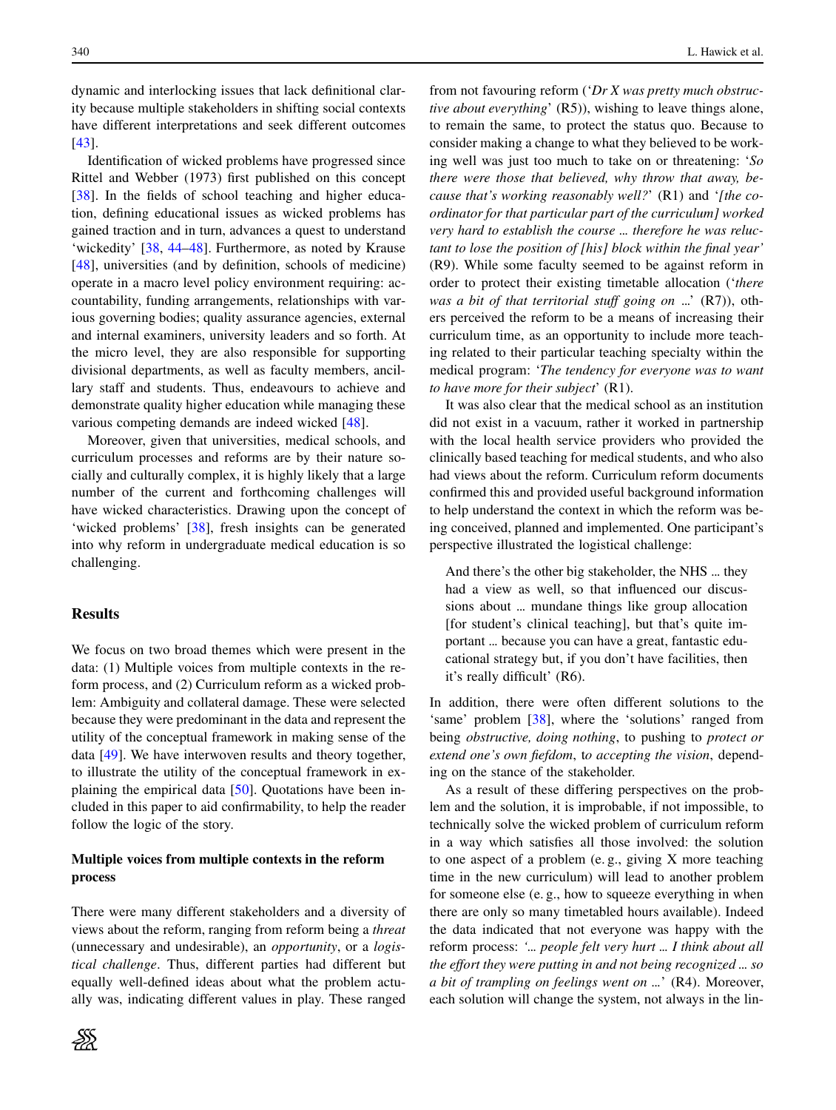dynamic and interlocking issues that lack definitional clarity because multiple stakeholders in shifting social contexts have different interpretations and seek different outcomes [\[43\]](#page-6-28).

Identification of wicked problems have progressed since Rittel and Webber (1973) first published on this concept [\[38\]](#page-6-23). In the fields of school teaching and higher education, defining educational issues as wicked problems has gained traction and in turn, advances a quest to understand 'wickedity' [\[38,](#page-6-23) [44–](#page-6-29)[48\]](#page-6-30). Furthermore, as noted by Krause [\[48\]](#page-6-30), universities (and by definition, schools of medicine) operate in a macro level policy environment requiring: accountability, funding arrangements, relationships with various governing bodies; quality assurance agencies, external and internal examiners, university leaders and so forth. At the micro level, they are also responsible for supporting divisional departments, as well as faculty members, ancillary staff and students. Thus, endeavours to achieve and demonstrate quality higher education while managing these various competing demands are indeed wicked [\[48\]](#page-6-30).

Moreover, given that universities, medical schools, and curriculum processes and reforms are by their nature socially and culturally complex, it is highly likely that a large number of the current and forthcoming challenges will have wicked characteristics. Drawing upon the concept of 'wicked problems' [\[38\]](#page-6-23), fresh insights can be generated into why reform in undergraduate medical education is so challenging.

### **Results**

We focus on two broad themes which were present in the data: (1) Multiple voices from multiple contexts in the reform process, and (2) Curriculum reform as a wicked problem: Ambiguity and collateral damage. These were selected because they were predominant in the data and represent the utility of the conceptual framework in making sense of the data [\[49\]](#page-6-31). We have interwoven results and theory together, to illustrate the utility of the conceptual framework in explaining the empirical data [\[50\]](#page-6-32). Quotations have been included in this paper to aid confirmability, to help the reader follow the logic of the story.

## **Multiple voices from multiple contexts in the reform process**

There were many different stakeholders and a diversity of views about the reform, ranging from reform being a *threat* (unnecessary and undesirable), an *opportunity*, or a *logistical challenge*. Thus, different parties had different but equally well-defined ideas about what the problem actually was, indicating different values in play. These ranged from not favouring reform ('*Dr X was pretty much obstructive about everything*' (R5)), wishing to leave things alone, to remain the same, to protect the status quo. Because to consider making a change to what they believed to be working well was just too much to take on or threatening: '*So there were those that believed, why throw that away, because that's working reasonably well?*' (R1) and '*[the coordinator for that particular part of the curriculum] worked very hard to establish the course ... therefore he was reluctant to lose the position of [his] block within the final year'* (R9). While some faculty seemed to be against reform in order to protect their existing timetable allocation ('*there was a bit of that territorial stuff going on* ...' (R7)), others perceived the reform to be a means of increasing their curriculum time, as an opportunity to include more teaching related to their particular teaching specialty within the medical program: '*The tendency for everyone was to want to have more for their subject*' (R1).

It was also clear that the medical school as an institution did not exist in a vacuum, rather it worked in partnership with the local health service providers who provided the clinically based teaching for medical students, and who also had views about the reform. Curriculum reform documents confirmed this and provided useful background information to help understand the context in which the reform was being conceived, planned and implemented. One participant's perspective illustrated the logistical challenge:

And there's the other big stakeholder, the NHS ... they had a view as well, so that influenced our discussions about ... mundane things like group allocation [for student's clinical teaching], but that's quite important ... because you can have a great, fantastic educational strategy but, if you don't have facilities, then it's really difficult' (R6).

In addition, there were often different solutions to the 'same' problem [\[38\]](#page-6-23), where the 'solutions' ranged from being *obstructive, doing nothing*, to pushing to *protect or extend one's own fiefdom*, t*o accepting the vision*, depending on the stance of the stakeholder.

As a result of these differing perspectives on the problem and the solution, it is improbable, if not impossible, to technically solve the wicked problem of curriculum reform in a way which satisfies all those involved: the solution to one aspect of a problem (e. g., giving X more teaching time in the new curriculum) will lead to another problem for someone else (e. g., how to squeeze everything in when there are only so many timetabled hours available). Indeed the data indicated that not everyone was happy with the reform process: *'... people felt very hurt ... I think about all the effort they were putting in and not being recognized ... so a bit of trampling on feelings went on ...*' (R4). Moreover, each solution will change the system, not always in the lin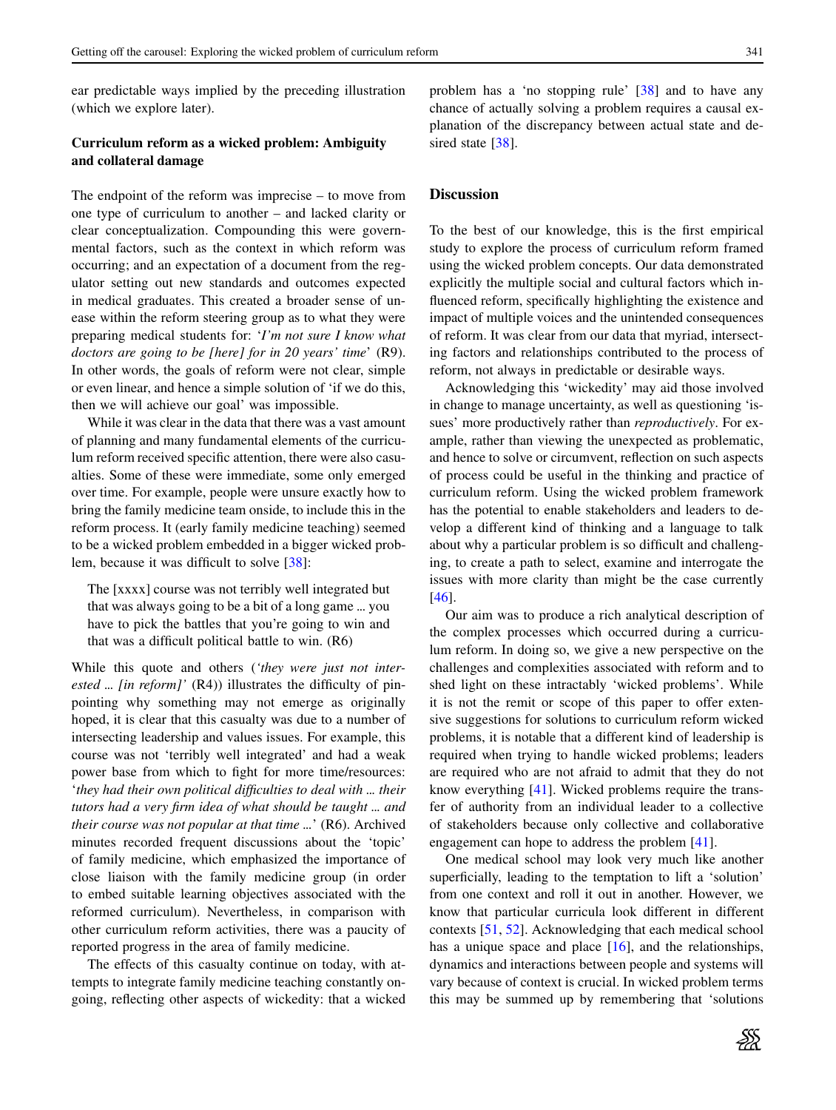ear predictable ways implied by the preceding illustration (which we explore later).

# **Curriculum reform as a wicked problem: Ambiguity and collateral damage**

The endpoint of the reform was imprecise – to move from one type of curriculum to another – and lacked clarity or clear conceptualization. Compounding this were governmental factors, such as the context in which reform was occurring; and an expectation of a document from the regulator setting out new standards and outcomes expected in medical graduates. This created a broader sense of unease within the reform steering group as to what they were preparing medical students for: '*I'm not sure I know what doctors are going to be [here] for in 20 years' time*' (R9). In other words, the goals of reform were not clear, simple or even linear, and hence a simple solution of 'if we do this, then we will achieve our goal' was impossible.

While it was clear in the data that there was a vast amount of planning and many fundamental elements of the curriculum reform received specific attention, there were also casualties. Some of these were immediate, some only emerged over time. For example, people were unsure exactly how to bring the family medicine team onside, to include this in the reform process. It (early family medicine teaching) seemed to be a wicked problem embedded in a bigger wicked problem, because it was difficult to solve [\[38\]](#page-6-23):

The [xxxx] course was not terribly well integrated but that was always going to be a bit of a long game ... you have to pick the battles that you're going to win and that was a difficult political battle to win. (R6)

While this quote and others (*'they were just not interested ... [in reform]'* (R4)) illustrates the difficulty of pinpointing why something may not emerge as originally hoped, it is clear that this casualty was due to a number of intersecting leadership and values issues. For example, this course was not 'terribly well integrated' and had a weak power base from which to fight for more time/resources: '*they had their own political difficulties to deal with ... their tutors had a very firm idea of what should be taught ... and their course was not popular at that time ...*' (R6). Archived minutes recorded frequent discussions about the 'topic' of family medicine, which emphasized the importance of close liaison with the family medicine group (in order to embed suitable learning objectives associated with the reformed curriculum). Nevertheless, in comparison with other curriculum reform activities, there was a paucity of reported progress in the area of family medicine.

The effects of this casualty continue on today, with attempts to integrate family medicine teaching constantly ongoing, reflecting other aspects of wickedity: that a wicked problem has a 'no stopping rule' [\[38\]](#page-6-23) and to have any chance of actually solving a problem requires a causal explanation of the discrepancy between actual state and de-sired state [\[38\]](#page-6-23).

# **Discussion**

To the best of our knowledge, this is the first empirical study to explore the process of curriculum reform framed using the wicked problem concepts. Our data demonstrated explicitly the multiple social and cultural factors which influenced reform, specifically highlighting the existence and impact of multiple voices and the unintended consequences of reform. It was clear from our data that myriad, intersecting factors and relationships contributed to the process of reform, not always in predictable or desirable ways.

Acknowledging this 'wickedity' may aid those involved in change to manage uncertainty, as well as questioning 'issues' more productively rather than *reproductively*. For example, rather than viewing the unexpected as problematic, and hence to solve or circumvent, reflection on such aspects of process could be useful in the thinking and practice of curriculum reform. Using the wicked problem framework has the potential to enable stakeholders and leaders to develop a different kind of thinking and a language to talk about why a particular problem is so difficult and challenging, to create a path to select, examine and interrogate the issues with more clarity than might be the case currently [\[46\]](#page-6-33).

Our aim was to produce a rich analytical description of the complex processes which occurred during a curriculum reform. In doing so, we give a new perspective on the challenges and complexities associated with reform and to shed light on these intractably 'wicked problems'. While it is not the remit or scope of this paper to offer extensive suggestions for solutions to curriculum reform wicked problems, it is notable that a different kind of leadership is required when trying to handle wicked problems; leaders are required who are not afraid to admit that they do not know everything [\[41\]](#page-6-26). Wicked problems require the transfer of authority from an individual leader to a collective of stakeholders because only collective and collaborative engagement can hope to address the problem [\[41\]](#page-6-26).

One medical school may look very much like another superficially, leading to the temptation to lift a 'solution' from one context and roll it out in another. However, we know that particular curricula look different in different contexts [\[51,](#page-6-34) [52\]](#page-6-35). Acknowledging that each medical school has a unique space and place [\[16\]](#page-6-2), and the relationships, dynamics and interactions between people and systems will vary because of context is crucial. In wicked problem terms this may be summed up by remembering that 'solutions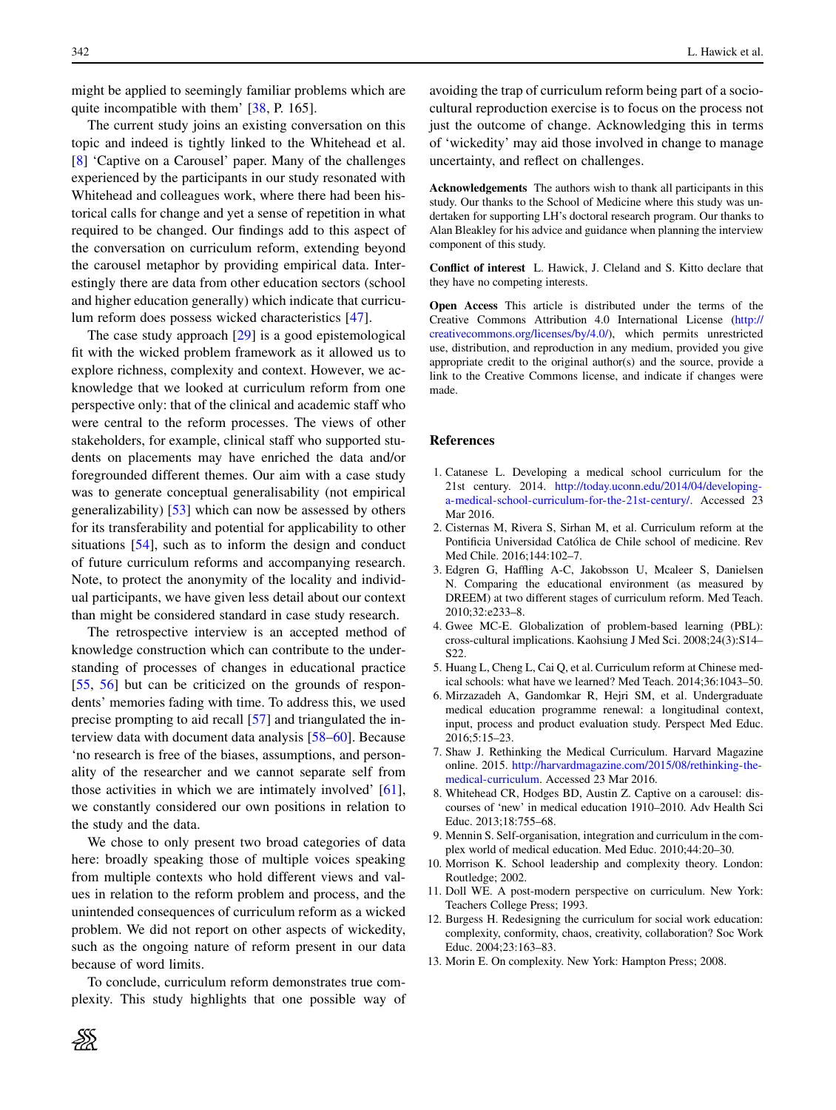might be applied to seemingly familiar problems which are quite incompatible with them' [\[38,](#page-6-23) P. 165].

The current study joins an existing conversation on this topic and indeed is tightly linked to the Whitehead et al. [\[8\]](#page-5-2) 'Captive on a Carousel' paper. Many of the challenges experienced by the participants in our study resonated with Whitehead and colleagues work, where there had been historical calls for change and yet a sense of repetition in what required to be changed. Our findings add to this aspect of the conversation on curriculum reform, extending beyond the carousel metaphor by providing empirical data. Interestingly there are data from other education sectors (school and higher education generally) which indicate that curriculum reform does possess wicked characteristics [\[47\]](#page-6-36).

The case study approach [\[29\]](#page-6-14) is a good epistemological fit with the wicked problem framework as it allowed us to explore richness, complexity and context. However, we acknowledge that we looked at curriculum reform from one perspective only: that of the clinical and academic staff who were central to the reform processes. The views of other stakeholders, for example, clinical staff who supported students on placements may have enriched the data and/or foregrounded different themes. Our aim with a case study was to generate conceptual generalisability (not empirical generalizability) [\[53\]](#page-6-37) which can now be assessed by others for its transferability and potential for applicability to other situations [\[54\]](#page-6-38), such as to inform the design and conduct of future curriculum reforms and accompanying research. Note, to protect the anonymity of the locality and individual participants, we have given less detail about our context than might be considered standard in case study research.

The retrospective interview is an accepted method of knowledge construction which can contribute to the understanding of processes of changes in educational practice [\[55,](#page-6-39) [56\]](#page-6-40) but can be criticized on the grounds of respondents' memories fading with time. To address this, we used precise prompting to aid recall [\[57\]](#page-6-41) and triangulated the interview data with document data analysis [\[58](#page-6-42)[–60\]](#page-6-43). Because 'no research is free of the biases, assumptions, and personality of the researcher and we cannot separate self from those activities in which we are intimately involved' [\[61\]](#page-6-44), we constantly considered our own positions in relation to the study and the data.

We chose to only present two broad categories of data here: broadly speaking those of multiple voices speaking from multiple contexts who hold different views and values in relation to the reform problem and process, and the unintended consequences of curriculum reform as a wicked problem. We did not report on other aspects of wickedity, such as the ongoing nature of reform present in our data because of word limits.

To conclude, curriculum reform demonstrates true complexity. This study highlights that one possible way of

⋙

avoiding the trap of curriculum reform being part of a sociocultural reproduction exercise is to focus on the process not just the outcome of change. Acknowledging this in terms of 'wickedity' may aid those involved in change to manage uncertainty, and reflect on challenges.

**Acknowledgements** The authors wish to thank all participants in this study. Our thanks to the School of Medicine where this study was undertaken for supporting LH's doctoral research program. Our thanks to Alan Bleakley for his advice and guidance when planning the interview component of this study.

**Conflict of interest** L. Hawick, J. Cleland and S. Kitto declare that they have no competing interests.

**Open Access** This article is distributed under the terms of the Creative Commons Attribution 4.0 International License [\(http://](http://creativecommons.org/licenses/by/4.0/) [creativecommons.org/licenses/by/4.0/\)](http://creativecommons.org/licenses/by/4.0/), which permits unrestricted use, distribution, and reproduction in any medium, provided you give appropriate credit to the original author(s) and the source, provide a link to the Creative Commons license, and indicate if changes were made.

#### <span id="page-5-0"></span>**References**

- 1. Catanese L. Developing a medical school curriculum for the 21st century. 2014. [http://today.uconn.edu/2014/04/developing](http://today.uconn.edu/2014/04/developing-a-medical-school-curriculum-for-the-21st-century/)[a-medical-school-curriculum-for-the-21st-century/.](http://today.uconn.edu/2014/04/developing-a-medical-school-curriculum-for-the-21st-century/) Accessed 23 Mar 2016.
- <span id="page-5-7"></span>2. Cisternas M, Rivera S, Sirhan M, et al. Curriculum reform at the Pontificia Universidad Católica de Chile school of medicine. Rev Med Chile. 2016;144:102–7.
- <span id="page-5-8"></span>3. Edgren G, Haffling A-C, Jakobsson U, Mcaleer S, Danielsen N. Comparing the educational environment (as measured by DREEM) at two different stages of curriculum reform. Med Teach. 2010;32:e233–8.
- 4. Gwee MC-E. Globalization of problem-based learning (PBL): cross-cultural implications. Kaohsiung J Med Sci. 2008;24(3):S14– S22.
- <span id="page-5-9"></span>5. Huang L, Cheng L, Cai Q, et al. Curriculum reform at Chinese medical schools: what have we learned? Med Teach. 2014;36:1043–50.
- 6. Mirzazadeh A, Gandomkar R, Hejri SM, et al. Undergraduate medical education programme renewal: a longitudinal context, input, process and product evaluation study. Perspect Med Educ. 2016;5:15–23.
- <span id="page-5-1"></span>7. Shaw J. Rethinking the Medical Curriculum. Harvard Magazine online. 2015. [http://harvardmagazine.com/2015/08/rethinking-the](http://harvardmagazine.com/2015/08/rethinking-the-medical-curriculum)[medical-curriculum.](http://harvardmagazine.com/2015/08/rethinking-the-medical-curriculum) Accessed 23 Mar 2016.
- <span id="page-5-2"></span>8. Whitehead CR, Hodges BD, Austin Z. Captive on a carousel: discourses of 'new' in medical education 1910–2010. Adv Health Sci Educ. 2013;18:755–68.
- <span id="page-5-4"></span><span id="page-5-3"></span>9. Mennin S. Self-organisation, integration and curriculum in the complex world of medical education. Med Educ. 2010;44:20–30.
- 10. Morrison K. School leadership and complexity theory. London: Routledge; 2002.
- <span id="page-5-5"></span>11. Doll WE. A post-modern perspective on curriculum. New York: Teachers College Press; 1993.
- 12. Burgess H. Redesigning the curriculum for social work education: complexity, conformity, chaos, creativity, collaboration? Soc Work Educ. 2004;23:163–83.
- <span id="page-5-6"></span>13. Morin E. On complexity. New York: Hampton Press; 2008.